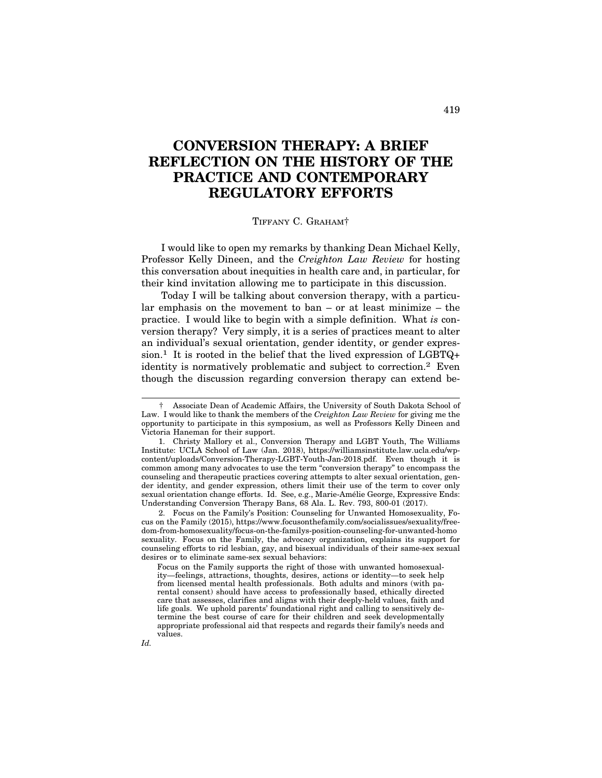## **CONVERSION THERAPY: A BRIEF REFLECTION ON THE HISTORY OF THE PRACTICE AND CONTEMPORARY REGULATORY EFFORTS**

## TIFFANY C. GRAHAM†

I would like to open my remarks by thanking Dean Michael Kelly, Professor Kelly Dineen, and the *Creighton Law Review* for hosting this conversation about inequities in health care and, in particular, for their kind invitation allowing me to participate in this discussion.

Today I will be talking about conversion therapy, with a particular emphasis on the movement to ban – or at least minimize – the practice. I would like to begin with a simple definition. What *is* conversion therapy? Very simply, it is a series of practices meant to alter an individual's sexual orientation, gender identity, or gender expression.<sup>1</sup> It is rooted in the belief that the lived expression of LGBTQ+ identity is normatively problematic and subject to correction.2 Even though the discussion regarding conversion therapy can extend be-

<sup>†</sup> Associate Dean of Academic Affairs, the University of South Dakota School of Law. I would like to thank the members of the *Creighton Law Review* for giving me the opportunity to participate in this symposium, as well as Professors Kelly Dineen and Victoria Haneman for their support.

<sup>1.</sup> Christy Mallory et al., Conversion Therapy and LGBT Youth, The Williams Institute: UCLA School of Law (Jan. 2018), https://williamsinstitute.law.ucla.edu/wpcontent/uploads/Conversion-Therapy-LGBT-Youth-Jan-2018.pdf. Even though it is common among many advocates to use the term "conversion therapy" to encompass the counseling and therapeutic practices covering attempts to alter sexual orientation, gender identity, and gender expression, others limit their use of the term to cover only sexual orientation change efforts. Id. See, e.g., Marie-Amélie George, Expressive Ends: Understanding Conversion Therapy Bans, 68 Ala. L. Rev. 793, 800-01 (2017).

<sup>2.</sup> Focus on the Family's Position: Counseling for Unwanted Homosexuality, Focus on the Family (2015), https://www.focusonthefamily.com/socialissues/sexuality/freedom-from-homosexuality/focus-on-the-familys-position-counseling-for-unwanted-homo sexuality. Focus on the Family, the advocacy organization, explains its support for counseling efforts to rid lesbian, gay, and bisexual individuals of their same-sex sexual desires or to eliminate same-sex sexual behaviors:

Focus on the Family supports the right of those with unwanted homosexuality—feelings, attractions, thoughts, desires, actions or identity—to seek help from licensed mental health professionals. Both adults and minors (with parental consent) should have access to professionally based, ethically directed care that assesses, clarifies and aligns with their deeply-held values, faith and life goals. We uphold parents' foundational right and calling to sensitively determine the best course of care for their children and seek developmentally appropriate professional aid that respects and regards their family's needs and values.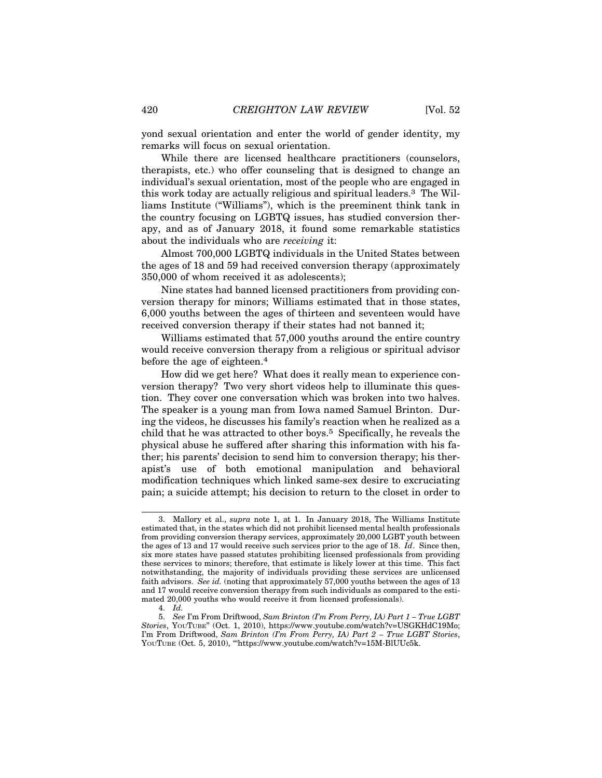yond sexual orientation and enter the world of gender identity, my remarks will focus on sexual orientation.

While there are licensed healthcare practitioners (counselors, therapists, etc.) who offer counseling that is designed to change an individual's sexual orientation, most of the people who are engaged in this work today are actually religious and spiritual leaders.3 The Williams Institute ("Williams"), which is the preeminent think tank in the country focusing on LGBTQ issues, has studied conversion therapy, and as of January 2018, it found some remarkable statistics about the individuals who are *receiving* it:

Almost 700,000 LGBTQ individuals in the United States between the ages of 18 and 59 had received conversion therapy (approximately 350,000 of whom received it as adolescents);

Nine states had banned licensed practitioners from providing conversion therapy for minors; Williams estimated that in those states, 6,000 youths between the ages of thirteen and seventeen would have received conversion therapy if their states had not banned it;

Williams estimated that 57,000 youths around the entire country would receive conversion therapy from a religious or spiritual advisor before the age of eighteen.4

How did we get here? What does it really mean to experience conversion therapy? Two very short videos help to illuminate this question. They cover one conversation which was broken into two halves. The speaker is a young man from Iowa named Samuel Brinton. During the videos, he discusses his family's reaction when he realized as a child that he was attracted to other boys.5 Specifically, he reveals the physical abuse he suffered after sharing this information with his father; his parents' decision to send him to conversion therapy; his therapist's use of both emotional manipulation and behavioral modification techniques which linked same-sex desire to excruciating pain; a suicide attempt; his decision to return to the closet in order to

<sup>3.</sup> Mallory et al., *supra* note 1, at 1. In January 2018, The Williams Institute estimated that, in the states which did not prohibit licensed mental health professionals from providing conversion therapy services, approximately 20,000 LGBT youth between the ages of 13 and 17 would receive such services prior to the age of 18. *Id*. Since then, six more states have passed statutes prohibiting licensed professionals from providing these services to minors; therefore, that estimate is likely lower at this time. This fact notwithstanding, the majority of individuals providing these services are unlicensed faith advisors. *See id.* (noting that approximately 57,000 youths between the ages of 13 and 17 would receive conversion therapy from such individuals as compared to the estimated 20,000 youths who would receive it from licensed professionals).

<sup>4.</sup> *Id.*

<sup>5.</sup> *See* I'm From Driftwood, *Sam Brinton (I'm From Perry, IA) Part 1 – True LGBT Stories*, YOUTUBE'' (Oct. 1, 2010), https://www.youtube.com/watch?v=USGKHdC19Mo; I'm From Driftwood, *Sam Brinton (I'm From Perry, IA) Part 2 – True LGBT Stories*, YOUTUBE (Oct. 5, 2010), '''https://www.youtube.com/watch?v=15M-BlUUc5k.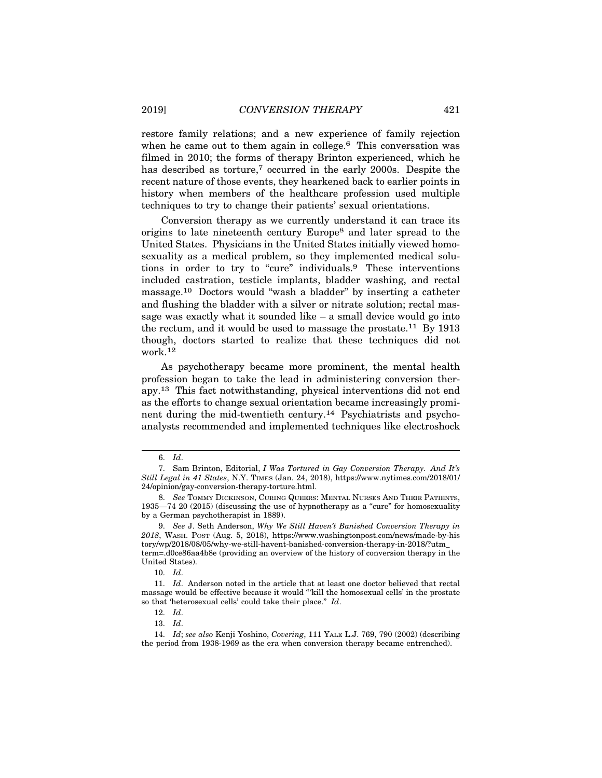restore family relations; and a new experience of family rejection when he came out to them again in college.<sup>6</sup> This conversation was filmed in 2010; the forms of therapy Brinton experienced, which he has described as torture,<sup>7</sup> occurred in the early 2000s. Despite the recent nature of those events, they hearkened back to earlier points in history when members of the healthcare profession used multiple techniques to try to change their patients' sexual orientations.

Conversion therapy as we currently understand it can trace its origins to late nineteenth century Europe8 and later spread to the United States. Physicians in the United States initially viewed homosexuality as a medical problem, so they implemented medical solutions in order to try to "cure" individuals.9 These interventions included castration, testicle implants, bladder washing, and rectal massage.10 Doctors would "wash a bladder" by inserting a catheter and flushing the bladder with a silver or nitrate solution; rectal massage was exactly what it sounded like  $-$  a small device would go into the rectum, and it would be used to massage the prostate.11 By 1913 though, doctors started to realize that these techniques did not work.<sup>12</sup>

As psychotherapy became more prominent, the mental health profession began to take the lead in administering conversion therapy.13 This fact notwithstanding, physical interventions did not end as the efforts to change sexual orientation became increasingly prominent during the mid-twentieth century.14 Psychiatrists and psychoanalysts recommended and implemented techniques like electroshock

<sup>6.</sup> *Id*.

<sup>7.</sup> Sam Brinton, Editorial, *I Was Tortured in Gay Conversion Therapy. And It's Still Legal in 41 States*, N.Y. TIMES (Jan. 24, 2018), https://www.nytimes.com/2018/01/ 24/opinion/gay-conversion-therapy-torture.html.

<sup>8.</sup> *See* TOMMY DICKINSON, CURING QUEERS: MENTAL NURSES AND THEIR PATIENTS, 1935—74 20 (2015) (discussing the use of hypnotherapy as a "cure" for homosexuality by a German psychotherapist in 1889).

<sup>9.</sup> *See* J. Seth Anderson, *Why We Still Haven't Banished Conversion Therapy in 2018*, WASH. POST (Aug. 5, 2018), https://www.washingtonpost.com/news/made-by-his tory/wp/2018/08/05/why-we-still-havent-banished-conversion-therapy-in-2018/?utm\_ term=.d0ce86aa4b8e (providing an overview of the history of conversion therapy in the United States).

<sup>10.</sup> *Id*.

<sup>11.</sup> *Id*. Anderson noted in the article that at least one doctor believed that rectal massage would be effective because it would "'kill the homosexual cells' in the prostate so that 'heterosexual cells' could take their place." *Id*.

<sup>12.</sup> *Id*.

<sup>13.</sup> *Id*.

<sup>14.</sup> *Id*; *see also* Kenji Yoshino, *Covering*, 111 YALE L.J. 769, 790 (2002) (describing the period from 1938-1969 as the era when conversion therapy became entrenched).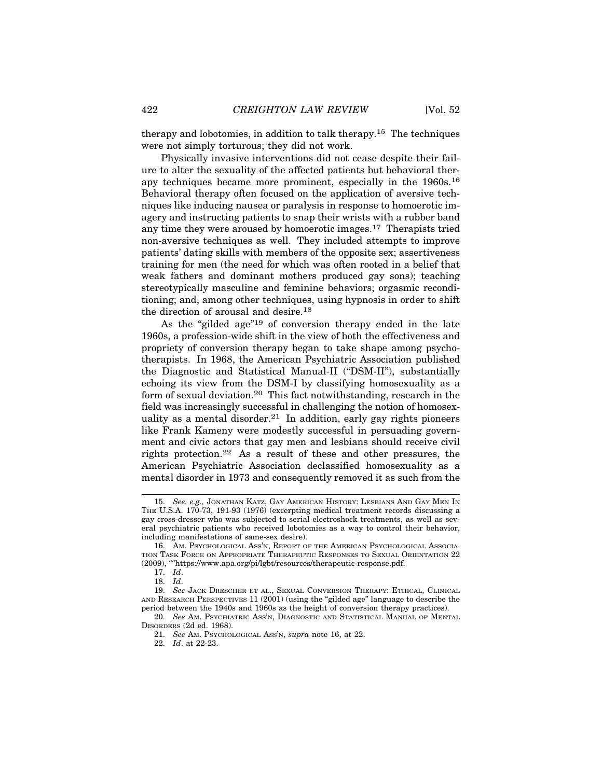therapy and lobotomies, in addition to talk therapy.15 The techniques were not simply torturous; they did not work.

Physically invasive interventions did not cease despite their failure to alter the sexuality of the affected patients but behavioral therapy techniques became more prominent, especially in the 1960s.16 Behavioral therapy often focused on the application of aversive techniques like inducing nausea or paralysis in response to homoerotic imagery and instructing patients to snap their wrists with a rubber band any time they were aroused by homoerotic images.17 Therapists tried non-aversive techniques as well. They included attempts to improve patients' dating skills with members of the opposite sex; assertiveness training for men (the need for which was often rooted in a belief that weak fathers and dominant mothers produced gay sons); teaching stereotypically masculine and feminine behaviors; orgasmic reconditioning; and, among other techniques, using hypnosis in order to shift the direction of arousal and desire.18

As the "gilded age"19 of conversion therapy ended in the late 1960s, a profession-wide shift in the view of both the effectiveness and propriety of conversion therapy began to take shape among psychotherapists. In 1968, the American Psychiatric Association published the Diagnostic and Statistical Manual-II ("DSM-II"), substantially echoing its view from the DSM-I by classifying homosexuality as a form of sexual deviation.20 This fact notwithstanding, research in the field was increasingly successful in challenging the notion of homosexuality as a mental disorder.<sup>21</sup> In addition, early gay rights pioneers like Frank Kameny were modestly successful in persuading government and civic actors that gay men and lesbians should receive civil rights protection.22 As a result of these and other pressures, the American Psychiatric Association declassified homosexuality as a mental disorder in 1973 and consequently removed it as such from the

<sup>15.</sup> *See, e.g.,* JONATHAN KATZ, GAY AMERICAN HISTORY: LESBIANS AND GAY MEN IN THE U.S.A. 170-73, 191-93 (1976) (excerpting medical treatment records discussing a gay cross-dresser who was subjected to serial electroshock treatments, as well as several psychiatric patients who received lobotomies as a way to control their behavior, including manifestations of same-sex desire).

<sup>16.</sup> AM. PSYCHOLOGICAL ASS'N, REPORT OF THE AMERICAN PSYCHOLOGICAL ASSOCIA-TION TASK FORCE ON APPROPRIATE THERAPEUTIC RESPONSES TO SEXUAL ORIENTATION 22  $\left( 2009\right)$  , ""https://www.apa.org/pi/lgbt/resources/therapeutic-response.pdf.

<sup>17.</sup> *Id*.

<sup>18.</sup> *Id*.

<sup>19.</sup> *See* JACK DRESCHER ET AL., SEXUAL CONVERSION THERAPY: ETHICAL, CLINICAL AND RESEARCH PERSPECTIVES 11 (2001) (using the "gilded age" language to describe the period between the 1940s and 1960s as the height of conversion therapy practices).

<sup>20.</sup> *See* AM. PSYCHIATRIC ASS'N, DIAGNOSTIC AND STATISTICAL MANUAL OF MENTAL DISORDERS (2d ed. 1968).

<sup>21.</sup> *See* AM. PSYCHOLOGICAL ASS'N, *supra* note 16, at 22.

<sup>22.</sup> *Id*. at 22-23.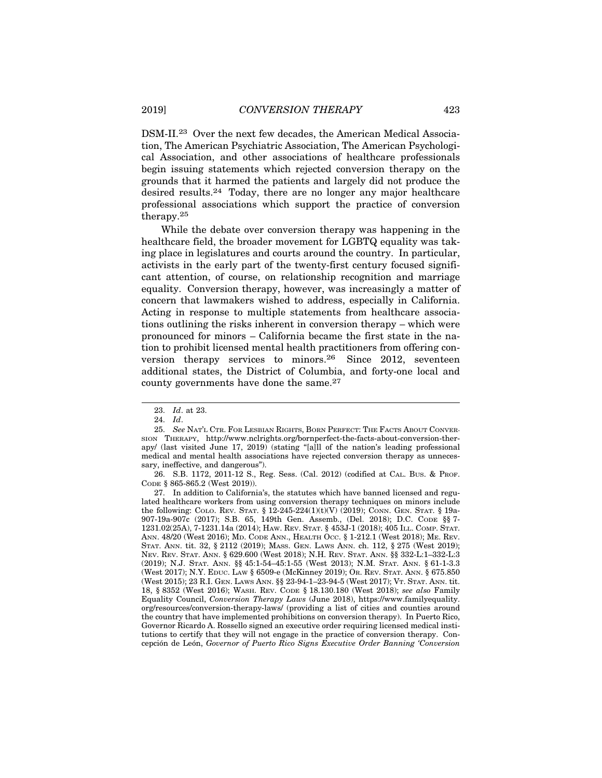DSM-II.23 Over the next few decades, the American Medical Association, The American Psychiatric Association, The American Psychological Association, and other associations of healthcare professionals begin issuing statements which rejected conversion therapy on the grounds that it harmed the patients and largely did not produce the desired results.24 Today, there are no longer any major healthcare professional associations which support the practice of conversion therapy.25

While the debate over conversion therapy was happening in the healthcare field, the broader movement for LGBTQ equality was taking place in legislatures and courts around the country. In particular, activists in the early part of the twenty-first century focused significant attention, of course, on relationship recognition and marriage equality. Conversion therapy, however, was increasingly a matter of concern that lawmakers wished to address, especially in California. Acting in response to multiple statements from healthcare associations outlining the risks inherent in conversion therapy – which were pronounced for minors – California became the first state in the nation to prohibit licensed mental health practitioners from offering conversion therapy services to minors.26 Since 2012, seventeen additional states, the District of Columbia, and forty-one local and county governments have done the same.<sup>27</sup>

26. S.B. 1172, 2011-12 S., Reg. Sess. (Cal. 2012) (codified at CAL. BUS. & PROF. CODE § 865-865.2 (West 2019)).

27. In addition to California's, the statutes which have banned licensed and regulated healthcare workers from using conversion therapy techniques on minors include the following: COLO. REV. STAT. § 12-245-224(1)(t)(V) (2019); CONN. GEN. STAT. § 19a-907-19a-907c (2017); S.B. 65, 149th Gen. Assemb., (Del. 2018); D.C. CODE §§ 7- 1231.02(25A), 7-1231.14a (2014); HAW. REV. STAT. § 453J-1 (2018); 405 ILL. COMP. STAT. ANN. 48/20 (West 2016); MD. CODE ANN., HEALTH OCC. § 1-212.1 (West 2018); ME. REV. STAT. ANN. tit. 32, § 2112 (2019); MASS. GEN. LAWS ANN. ch. 112, § 275 (West 2019); NEV. REV. STAT. ANN. § 629.600 (West 2018); N.H. REV. STAT. ANN. §§ 332-L:1–332-L:3 (2019); N.J. STAT. ANN. §§ 45:1-54–45:1-55 (West 2013); N.M. STAT. ANN. § 61-1-3.3 (West 2017); N.Y. EDUC. LAW § 6509-e (McKinney 2019); OR. REV. STAT. ANN. § 675.850 (West 2015); 23 R.I. GEN. LAWS ANN. §§ 23-94-1–23-94-5 (West 2017); VT. STAT. ANN. tit. 18, § 8352 (West 2016); WASH. REV. CODE § 18.130.180 (West 2018); *see also* Family Equality Council, *Conversion Therapy Laws* (June 2018), https://www.familyequality. org/resources/conversion-therapy-laws/ (providing a list of cities and counties around the country that have implemented prohibitions on conversion therapy). In Puerto Rico, Governor Ricardo A. Rossello signed an executive order requiring licensed medical institutions to certify that they will not engage in the practice of conversion therapy. Concepci´on de Le´on, *Governor of Puerto Rico Signs Executive Order Banning 'Conversion*

<sup>23.</sup> *Id*. at 23.

<sup>24.</sup> *Id*.

<sup>25.</sup> *See* NAT'L CTR. FOR LESBIAN RIGHTS, BORN PERFECT: THE FACTS ABOUT CONVER-SION THERAPY, http://www.nclrights.org/bornperfect-the-facts-about-conversion-therapy/ (last visited June 17, 2019) (stating "[a]ll of the nation's leading professional medical and mental health associations have rejected conversion therapy as unnecessary, ineffective, and dangerous").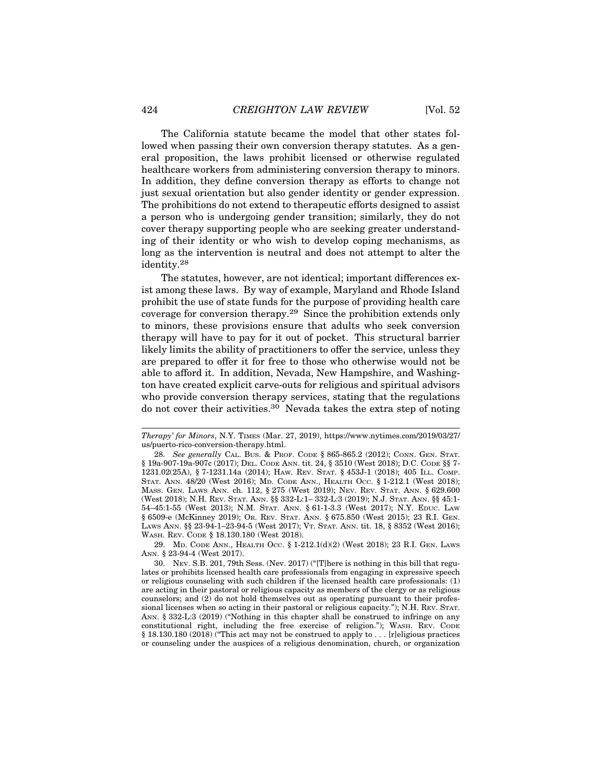The California statute became the model that other states followed when passing their own conversion therapy statutes. As a general proposition, the laws prohibit licensed or otherwise regulated healthcare workers from administering conversion therapy to minors. In addition, they define conversion therapy as efforts to change not just sexual orientation but also gender identity or gender expression. The prohibitions do not extend to therapeutic efforts designed to assist a person who is undergoing gender transition; similarly, they do not cover therapy supporting people who are seeking greater understanding of their identity or who wish to develop coping mechanisms, as long as the intervention is neutral and does not attempt to alter the identity.28

The statutes, however, are not identical; important differences exist among these laws. By way of example, Maryland and Rhode Island prohibit the use of state funds for the purpose of providing health care coverage for conversion therapy.29 Since the prohibition extends only to minors, these provisions ensure that adults who seek conversion therapy will have to pay for it out of pocket. This structural barrier likely limits the ability of practitioners to offer the service, unless they are prepared to offer it for free to those who otherwise would not be able to afford it. In addition, Nevada, New Hampshire, and Washington have created explicit carve-outs for religious and spiritual advisors who provide conversion therapy services, stating that the regulations do not cover their activities.30 Nevada takes the extra step of noting

29. MD. CODE ANN., HEALTH OCC. § 1-212.1(d)(2) (West 2018); 23 R.I. GEN. LAWS ANN. § 23-94-4 (West 2017).

*Therapy' for Minors*, N.Y. TIMES (Mar. 27, 2019), https://www.nytimes.com/2019/03/27/ us/puerto-rico-conversion-therapy.html.

<sup>28.</sup> *See generally* CAL. BUS. & PROF. CODE § 865-865.2 (2012); CONN. GEN. STAT. § 19a-907-19a-907c (2017); DEL. CODE ANN. tit. 24, § 3510 (West 2018); D.C. CODE §§ 7- 1231.02(25A), § 7-1231.14a (2014); HAW. REV. STAT. § 453J-1 (2018); 405 ILL. COMP. STAT. ANN. 48/20 (West 2016); MD. CODE ANN., HEALTH OCC. § 1-212.1 (West 2018); MASS. GEN. LAWS ANN. ch. 112, § 275 (West 2019); NEV. REV. STAT. ANN. § 629.600 (West 2018); N.H. REV. STAT. ANN. §§ 332-L:1– 332-L:3 (2019); N.J. STAT. ANN. §§ 45:1- 54–45:1-55 (West 2013); N.M. STAT. ANN. § 61-1-3.3 (West 2017); N.Y. EDUC. LAW § 6509-e (McKinney 2019); OR. REV. STAT. ANN. § 675.850 (West 2015); 23 R.I. GEN. LAWS ANN. §§ 23-94-1-23-94-5 (West 2017); VT. STAT. ANN. tit. 18, § 8352 (West 2016); WASH. REV. CODE § 18.130.180 (West 2018).

<sup>30.</sup> NEV. S.B. 201, 79th Sess. (Nev. 2017) ("[T]here is nothing in this bill that regulates or prohibits licensed health care professionals from engaging in expressive speech or religious counseling with such children if the licensed health care professionals: (1) are acting in their pastoral or religious capacity as members of the clergy or as religious counselors; and (2) do not hold themselves out as operating pursuant to their professional licenses when so acting in their pastoral or religious capacity."); N.H. REV. STAT. ANN. § 332-L:3 (2019) ("Nothing in this chapter shall be construed to infringe on any constitutional right, including the free exercise of religion."); WASH. REV. CODE § 18.130.180 (2018) ("This act may not be construed to apply to . . . [r]eligious practices or counseling under the auspices of a religious denomination, church, or organization